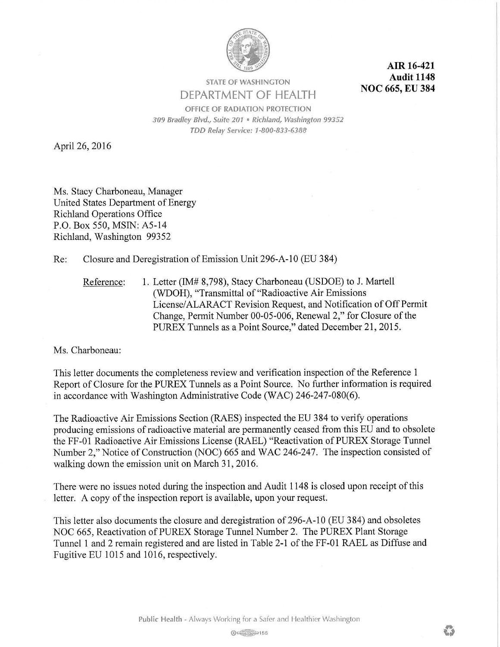

**AIR 16-421 Audit 1148 NOC 665, EU 384** 

**STATE OF WASHINGTON**  DEPARTMENT OF HEALTH

**OFFICE OF RADIATION PROTECTION**  *309 Bradley Blvd., Suite 201* • *Richland, Washington 99352 TDD Relay Service: 1-800-833-6388* 

April 26, 2016

Ms. Stacy Charboneau, Manager United States Department of Energy Richland Operations Office P.O. Box 550, MSIN: A5-14 Richland, Washington 99352

Re: Closure and Deregistration of Emission Unit 296-A-10 (EU 384)

Reference: 1. Letter (IM# 8,798), Stacy Charboneau (USDOE) to J. Martell (WDOH), "Transmittal of "Radioactive Air Emissions License/ ALARACT Revision Request, and Notification of Off Permit Change, Permit Number 00-05-006, Renewal 2," for Closure of the PUREX Tunnels as a Point Source," dated December 21, 2015.

Ms. Charboneau:

This letter documents the completeness review and verification inspection of the Reference 1 Report of Closure for the PUREX Tunnels as a Point Source. No further information is required in accordance with Washington Administrative Code (WAC) 246-247-080(6).

The Radioactive Air Emissions Section (RAES) inspected the EU 384 to verify operations producing emissions of radioactive material are permanently ceased from this EU and to obsolete the FF-01 Radioactive Air Emissions License (RAEL) "Reactivation of PUREX Storage Tunnel Number 2," Notice of Construction (NOC) 665 and WAC 246-247. The inspection consisted of walking down the emission unit on March 31, 2016.

There were no issues noted during the inspection and Audit 1148 is closed upon receipt of this letter. A copy of the inspection report is available, upon your request.

This letter also documents the closure and deregistration of296-A-10 (EU 384) and obsoletes NOC 665, Reactivation of PUREX Storage Tunnel Number 2. The PUREX Plant Storage Tunnel 1 and 2 remain registered and are listed in Table 2-1 of the FF-01 RAEL as Diffuse and Fugitive EU 1015 and 1016, respectively.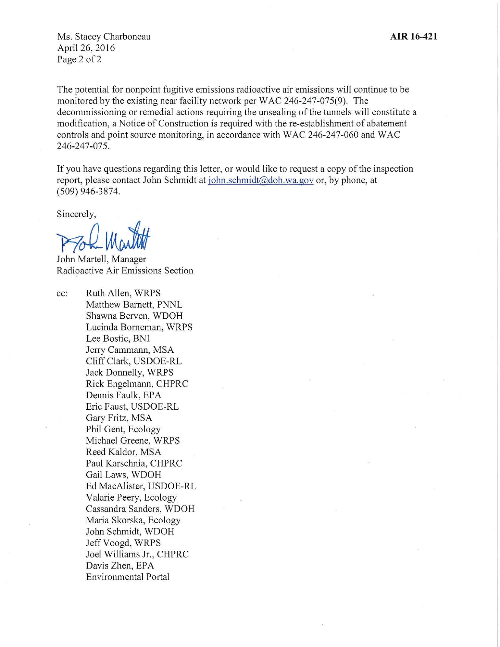Ms. Stacey Charboneau April26,2016 Page 2 of 2

The potential for nonpoint fugitive emissions radioactive air emissions will continue to be monitored by the existing near facility network per WAC 246-247-075(9). The decommissioning or remedial actions requiring the unsealing of the tunnels will constitute a modification, a Notice of Construction is required with the re-establishment of abatement controls and point source monitoring, in accordance with WAC 246-247-060 and WAC 246-247-075.

If you have questions regarding this letter, or would like to request a copy of the inspection report, please contact John Schmidt at john.schmidt@doh.wa.gov or, by phone, at (509) 946-3874.

Sincerely,

Proh Martit

John Martell, Manager Radioactive Air Emissions Section

cc: Ruth Allen, WRPS Matthew Barnett, PNNL Shawna Berven, WDOH Lucinda Borneman, WRPS Lee Bostic, BNI Jerry Cammann, MSA Cliff Clark, USDOE-RL Jack Donnelly, WRPS Rick Engelmann, CHPRC Dennis Faulk, EPA Eric Faust, USDOE-RL Gary Fritz, MSA Phil Gent, Ecology Michael Greene, WRPS Reed Kaldor, MSA Paul Karschnia, CHPRC Gail Laws, WDOH Ed MacAlister, USDOE-RL Valarie Peery, Ecology Cassandra Sanders, WDOH Maria Skorska, Ecology John Schmidt, WDOH Jeff Voogd, WRPS Joel Williams Jr., CHPRC Davis Zhen, EPA Environmental Portal